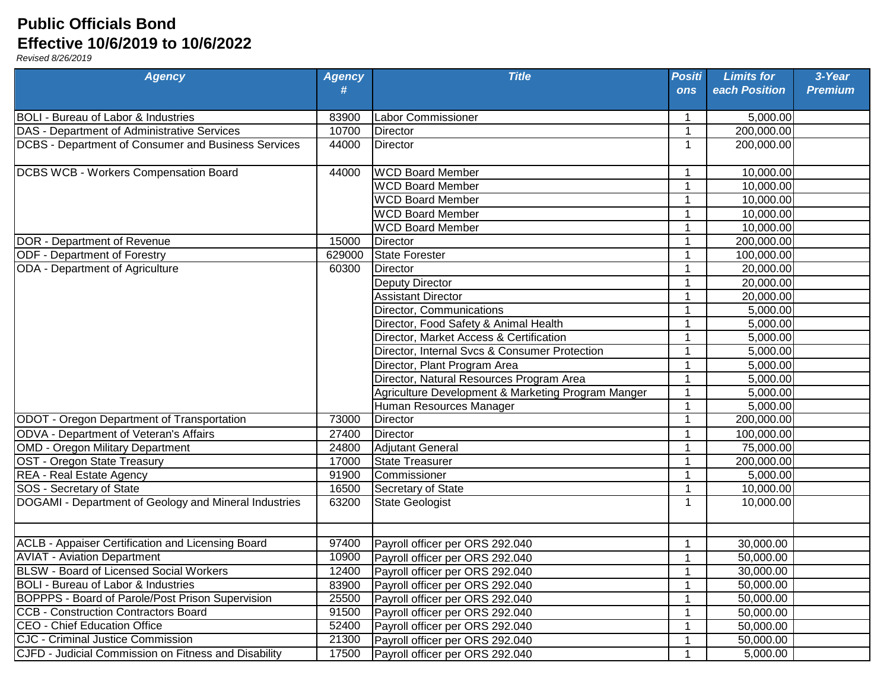## **Public Officials Bond Effective 10/6/2019 to 10/6/2022**

*Revised 8/26/2019*

| <b>Agency</b>                                         | <b>Agency</b><br># | <b>Title</b>                                       | <b>Positi</b><br><b>ons</b> | <b>Limits for</b><br>each Position | 3-Year<br><b>Premium</b> |
|-------------------------------------------------------|--------------------|----------------------------------------------------|-----------------------------|------------------------------------|--------------------------|
| <b>BOLI - Bureau of Labor &amp; Industries</b>        | 83900              | Labor Commissioner                                 | 1                           | 5,000.00                           |                          |
| DAS - Department of Administrative Services           | 10700              | Director                                           | 1                           | 200,000.00                         |                          |
| DCBS - Department of Consumer and Business Services   | 44000              | <b>Director</b>                                    | $\mathbf 1$                 | 200,000.00                         |                          |
| DCBS WCB - Workers Compensation Board                 | 44000              | <b>WCD Board Member</b>                            |                             | 10,000.00                          |                          |
|                                                       |                    | <b>WCD Board Member</b>                            |                             | 10,000.00                          |                          |
|                                                       |                    | <b>WCD Board Member</b>                            |                             | 10,000.00                          |                          |
|                                                       |                    | <b>WCD Board Member</b>                            |                             | 10,000.00                          |                          |
|                                                       |                    | <b>WCD Board Member</b>                            |                             | 10,000.00                          |                          |
| DOR - Department of Revenue                           | 15000              | <b>Director</b>                                    |                             | 200,000.00                         |                          |
| ODF - Department of Forestry                          | 629000             | <b>State Forester</b>                              |                             | 100,000.00                         |                          |
| ODA - Department of Agriculture                       | 60300              | Director                                           | -1                          | 20,000.00                          |                          |
|                                                       |                    | <b>Deputy Director</b>                             | 1                           | 20,000.00                          |                          |
|                                                       |                    | <b>Assistant Director</b>                          | 1                           | 20,000.00                          |                          |
|                                                       |                    | Director, Communications                           | 1                           | 5,000.00                           |                          |
|                                                       |                    | Director, Food Safety & Animal Health              | 1                           | 5,000.00                           |                          |
|                                                       |                    | Director, Market Access & Certification            | 1                           | 5,000.00                           |                          |
|                                                       |                    | Director, Internal Svcs & Consumer Protection      | 1                           | 5,000.00                           |                          |
|                                                       |                    | Director, Plant Program Area                       | 1                           | 5,000.00                           |                          |
|                                                       |                    | Director, Natural Resources Program Area           | 1                           | 5,000.00                           |                          |
|                                                       |                    | Agriculture Development & Marketing Program Manger | -1                          | 5,000.00                           |                          |
|                                                       |                    | Human Resources Manager                            |                             | 5,000.00                           |                          |
| ODOT - Oregon Department of Transportation            | 73000              | <b>Director</b>                                    | -1                          | 200,000.00                         |                          |
| ODVA - Department of Veteran's Affairs                | 27400              | <b>Director</b>                                    | 1                           | 100,000.00                         |                          |
| <b>OMD - Oregon Military Department</b>               | 24800              | Adjutant General                                   | 1                           | 75,000.00                          |                          |
| OST - Oregon State Treasury                           | 17000              | <b>State Treasurer</b>                             | 1                           | 200,000.00                         |                          |
| REA - Real Estate Agency                              | 91900              | Commissioner                                       | -1                          | 5,000.00                           |                          |
| SOS - Secretary of State                              | 16500              | Secretary of State                                 | 1                           | 10,000.00                          |                          |
| DOGAMI - Department of Geology and Mineral Industries | 63200              | <b>State Geologist</b>                             | $\mathbf{1}$                | 10,000.00                          |                          |
| ACLB - Appaiser Certification and Licensing Board     | 97400              | Payroll officer per ORS 292.040                    |                             | 30,000.00                          |                          |
| <b>AVIAT - Aviation Department</b>                    | 10900              | Payroll officer per ORS 292.040                    | -1                          | 50,000.00                          |                          |
| <b>BLSW</b> - Board of Licensed Social Workers        | 12400              | Payroll officer per ORS 292.040                    |                             | 30,000.00                          |                          |
| <b>BOLI</b> - Bureau of Labor & Industries            | 83900              | Payroll officer per ORS 292.040                    |                             | 50,000.00                          |                          |
| BOPPPS - Board of Parole/Post Prison Supervision      | 25500              | Payroll officer per ORS 292.040                    |                             | 50,000.00                          |                          |
| <b>CCB - Construction Contractors Board</b>           | 91500              | Payroll officer per ORS 292.040                    |                             | 50,000.00                          |                          |
| <b>CEO - Chief Education Office</b>                   | 52400              | Payroll officer per ORS 292.040                    |                             | 50,000.00                          |                          |
| <b>CJC - Criminal Justice Commission</b>              | 21300              | Payroll officer per ORS 292.040                    | 1                           | 50,000.00                          |                          |
| CJFD - Judicial Commission on Fitness and Disability  | 17500              | Payroll officer per ORS 292.040                    |                             | 5,000.00                           |                          |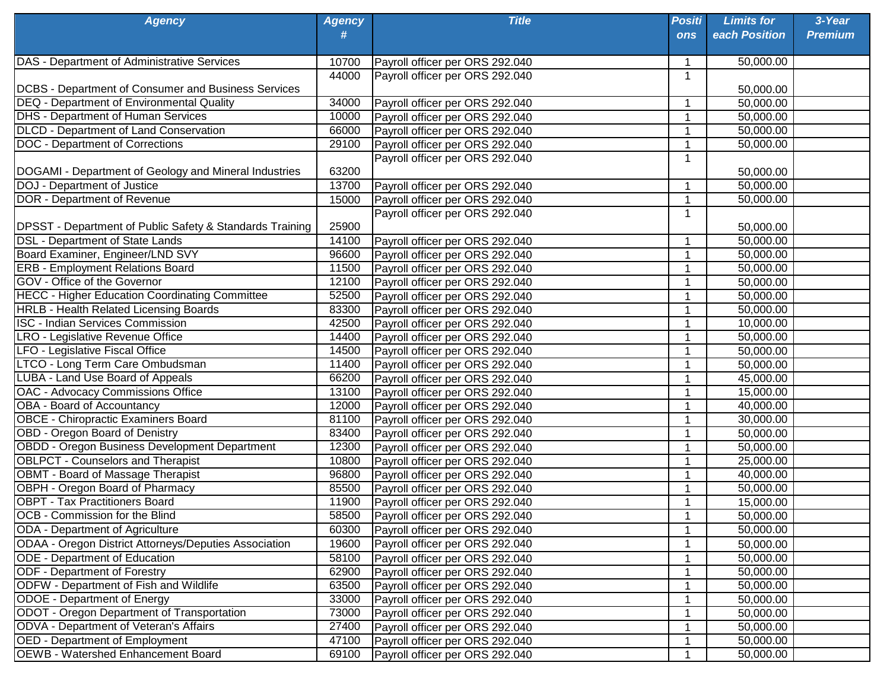| <b>Agency</b>                                                | <b>Agency</b> | <b>Title</b>                    | <b>Positi</b> | <b>Limits for</b> | 3-Year         |
|--------------------------------------------------------------|---------------|---------------------------------|---------------|-------------------|----------------|
|                                                              | #             |                                 | <b>ons</b>    | each Position     | <b>Premium</b> |
| DAS - Department of Administrative Services                  | 10700         | Payroll officer per ORS 292.040 |               | 50,000.00         |                |
|                                                              | 44000         | Payroll officer per ORS 292.040 | 1             |                   |                |
| <b>DCBS - Department of Consumer and Business Services</b>   |               |                                 |               | 50,000.00         |                |
| <b>DEQ - Department of Environmental Quality</b>             | 34000         | Payroll officer per ORS 292.040 |               | 50,000.00         |                |
| <b>DHS</b> - Department of Human Services                    | 10000         | Payroll officer per ORS 292.040 |               | 50,000.00         |                |
| <b>DLCD</b> - Department of Land Conservation                | 66000         | Payroll officer per ORS 292.040 |               | 50,000.00         |                |
| <b>DOC</b> - Department of Corrections                       | 29100         | Payroll officer per ORS 292.040 |               | 50,000.00         |                |
|                                                              |               | Payroll officer per ORS 292.040 | 1             |                   |                |
| DOGAMI - Department of Geology and Mineral Industries        | 63200         |                                 |               | 50,000.00         |                |
| DOJ - Department of Justice                                  | 13700         | Payroll officer per ORS 292.040 | 1             | 50,000.00         |                |
| DOR - Department of Revenue                                  | 15000         | Payroll officer per ORS 292.040 |               | 50,000.00         |                |
|                                                              |               | Payroll officer per ORS 292.040 | 1             |                   |                |
| DPSST - Department of Public Safety & Standards Training     | 25900         |                                 |               | 50,000.00         |                |
| <b>DSL - Department of State Lands</b>                       | 14100         | Payroll officer per ORS 292.040 | 1             | 50,000.00         |                |
| Board Examiner, Engineer/LND SVY                             | 96600         | Payroll officer per ORS 292.040 |               | 50,000.00         |                |
| <b>ERB - Employment Relations Board</b>                      | 11500         | Payroll officer per ORS 292.040 |               | 50,000.00         |                |
| GOV - Office of the Governor                                 | 12100         | Payroll officer per ORS 292.040 |               | 50,000.00         |                |
| <b>HECC - Higher Education Coordinating Committee</b>        | 52500         | Payroll officer per ORS 292.040 |               | 50,000.00         |                |
| <b>HRLB - Health Related Licensing Boards</b>                | 83300         | Payroll officer per ORS 292.040 |               | 50,000.00         |                |
| <b>ISC - Indian Services Commission</b>                      | 42500         | Payroll officer per ORS 292.040 |               | 10,000.00         |                |
| LRO - Legislative Revenue Office                             | 14400         | Payroll officer per ORS 292.040 |               | 50,000.00         |                |
| LFO - Legislative Fiscal Office                              | 14500         | Payroll officer per ORS 292.040 |               | 50,000.00         |                |
| LTCO - Long Term Care Ombudsman                              | 11400         | Payroll officer per ORS 292.040 |               | 50,000.00         |                |
| <b>LUBA - Land Use Board of Appeals</b>                      | 66200         | Payroll officer per ORS 292.040 |               | 45,000.00         |                |
| <b>OAC - Advocacy Commissions Office</b>                     | 13100         | Payroll officer per ORS 292.040 | -1            | 15,000.00         |                |
| <b>OBA - Board of Accountancy</b>                            | 12000         | Payroll officer per ORS 292.040 |               | 40,000.00         |                |
| <b>OBCE - Chiropractic Examiners Board</b>                   | 81100         | Payroll officer per ORS 292.040 |               | 30,000.00         |                |
| <b>OBD - Oregon Board of Denistry</b>                        | 83400         | Payroll officer per ORS 292.040 |               | 50,000.00         |                |
| OBDD - Oregon Business Development Department                | 12300         | Payroll officer per ORS 292.040 |               | 50,000.00         |                |
| <b>OBLPCT - Counselors and Therapist</b>                     | 10800         | Payroll officer per ORS 292.040 |               | 25,000.00         |                |
| <b>OBMT - Board of Massage Therapist</b>                     | 96800         | Payroll officer per ORS 292.040 |               | 40,000.00         |                |
| OBPH - Oregon Board of Pharmacy                              | 85500         | Payroll officer per ORS 292.040 |               | 50,000.00         |                |
| <b>OBPT - Tax Practitioners Board</b>                        | 11900         | Payroll officer per ORS 292.040 |               | 15,000.00         |                |
| OCB - Commission for the Blind                               | 58500         | Payroll officer per ORS 292.040 |               | 50,000.00         |                |
| ODA - Department of Agriculture                              | 60300         | Payroll officer per ORS 292.040 |               | 50,000.00         |                |
|                                                              |               |                                 |               |                   |                |
| <b>ODAA - Oregon District Attorneys/Deputies Association</b> | 19600         | Payroll officer per ORS 292.040 |               | 50,000.00         |                |
| <b>ODE - Department of Education</b>                         | 58100         | Payroll officer per ORS 292.040 |               | 50,000.00         |                |
| <b>ODF - Department of Forestry</b>                          | 62900         | Payroll officer per ORS 292.040 |               | 50,000.00         |                |
| <b>ODFW - Department of Fish and Wildlife</b>                | 63500         | Payroll officer per ORS 292.040 |               | 50,000.00         |                |
| <b>ODOE</b> - Department of Energy                           | 33000         | Payroll officer per ORS 292.040 |               | 50,000.00         |                |
| ODOT - Oregon Department of Transportation                   | 73000         | Payroll officer per ORS 292.040 |               | 50,000.00         |                |
| <b>ODVA</b> - Department of Veteran's Affairs                | 27400         | Payroll officer per ORS 292.040 |               | 50,000.00         |                |
| <b>OED</b> - Department of Employment                        | 47100         | Payroll officer per ORS 292.040 |               | 50,000.00         |                |
| <b>OEWB - Watershed Enhancement Board</b>                    | 69100         | Payroll officer per ORS 292.040 |               | 50,000.00         |                |